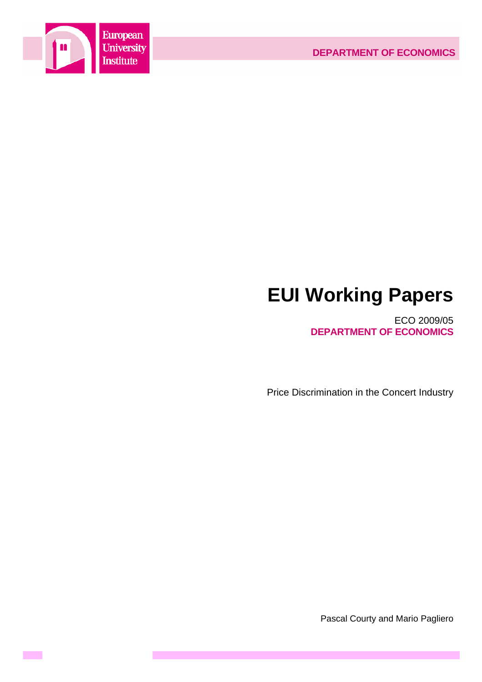

**Contract** 

# **EUI Working Papers**

ECO 2009/05 **DEPARTMENT OF ECONOMICS**

Price Discrimination in the Concert Industry

Pascal Courty and Mario Pagliero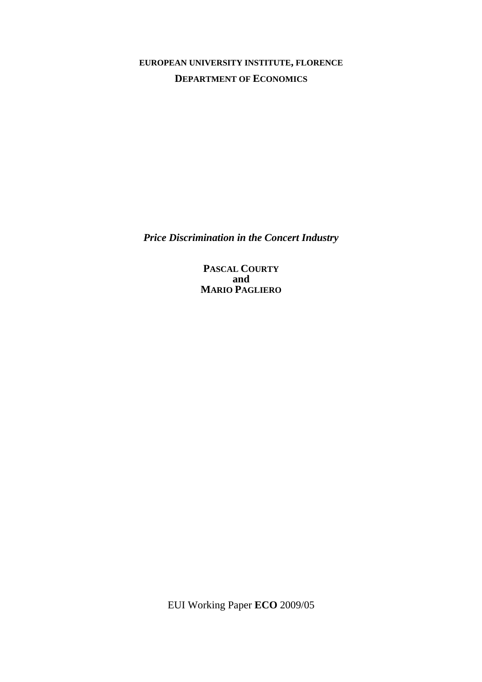**EUROPEAN UNIVERSITY INSTITUTE, FLORENCE DEPARTMENT OF ECONOMICS**

*Price Discrimination in the Concert Industry* 

**PASCAL COURTY and MARIO PAGLIERO**

EUI Working Paper **ECO** 2009/05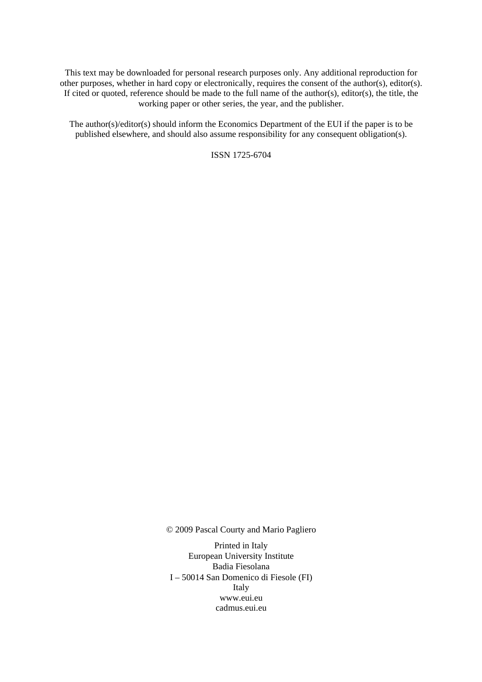This text may be downloaded for personal research purposes only. Any additional reproduction for other purposes, whether in hard copy or electronically, requires the consent of the author(s), editor(s). If cited or quoted, reference should be made to the full name of the author(s), editor(s), the title, the working paper or other series, the year, and the publisher.

The author(s)/editor(s) should inform the Economics Department of the EUI if the paper is to be published elsewhere, and should also assume responsibility for any consequent obligation(s).

ISSN 1725-6704

© 2009 Pascal Courty and Mario Pagliero

Printed in Italy European University Institute Badia Fiesolana I – 50014 San Domenico di Fiesole (FI) Italy [www.eui.eu](http://www.eui.eu/)  [cadmus.eui.eu](http://www.eui.eu/)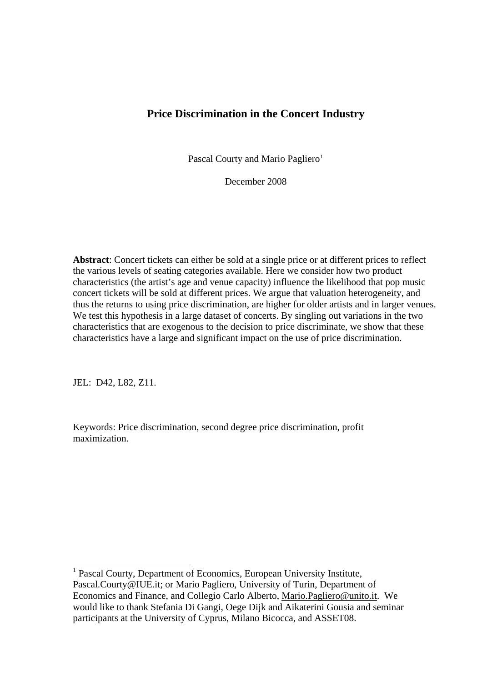# **Price Discrimination in the Concert Industry**

Pascal Courty and Mario Pagliero<sup>[1](#page-4-0)</sup>

December 2008

**Abstract**: Concert tickets can either be sold at a single price or at different prices to reflect the various levels of seating categories available. Here we consider how two product characteristics (the artist's age and venue capacity) influence the likelihood that pop music concert tickets will be sold at different prices. We argue that valuation heterogeneity, and thus the returns to using price discrimination, are higher for older artists and in larger venues. We test this hypothesis in a large dataset of concerts. By singling out variations in the two characteristics that are exogenous to the decision to price discriminate, we show that these characteristics have a large and significant impact on the use of price discrimination.

JEL: D42, L82, Z11.

 $\overline{a}$ 

Keywords: Price discrimination, second degree price discrimination, profit maximization.

<span id="page-4-0"></span><sup>&</sup>lt;sup>1</sup> Pascal Courty, Department of Economics, European University Institute, Pascal.Courty@IUE.it; or Mario Pagliero, University of Turin, Department of Economics and Finance, and Collegio Carlo Alberto, Mario.Pagliero@unito.it. We would like to thank Stefania Di Gangi, Oege Dijk and Aikaterini Gousia and seminar participants at the University of Cyprus, Milano Bicocca, and ASSET08.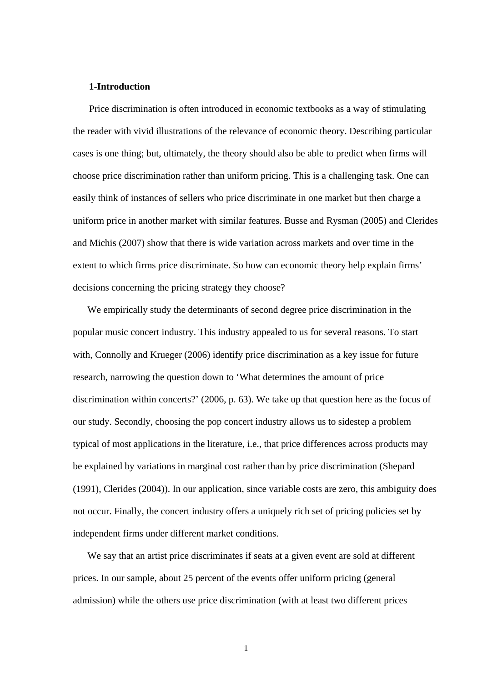#### **1-Introduction**

Price discrimination is often introduced in economic textbooks as a way of stimulating the reader with vivid illustrations of the relevance of economic theory. Describing particular cases is one thing; but, ultimately, the theory should also be able to predict when firms will choose price discrimination rather than uniform pricing. This is a challenging task. One can easily think of instances of sellers who price discriminate in one market but then charge a uniform price in another market with similar features. Busse and Rysman (2005) and Clerides and Michis (2007) show that there is wide variation across markets and over time in the extent to which firms price discriminate. So how can economic theory help explain firms' decisions concerning the pricing strategy they choose?

We empirically study the determinants of second degree price discrimination in the popular music concert industry. This industry appealed to us for several reasons. To start with, Connolly and Krueger (2006) identify price discrimination as a key issue for future research, narrowing the question down to 'What determines the amount of price discrimination within concerts?' (2006, p. 63). We take up that question here as the focus of our study. Secondly, choosing the pop concert industry allows us to sidestep a problem typical of most applications in the literature, i.e., that price differences across products may be explained by variations in marginal cost rather than by price discrimination (Shepard (1991), Clerides (2004)). In our application, since variable costs are zero, this ambiguity does not occur. Finally, the concert industry offers a uniquely rich set of pricing policies set by independent firms under different market conditions.

We say that an artist price discriminates if seats at a given event are sold at different prices. In our sample, about 25 percent of the events offer uniform pricing (general admission) while the others use price discrimination (with at least two different prices

1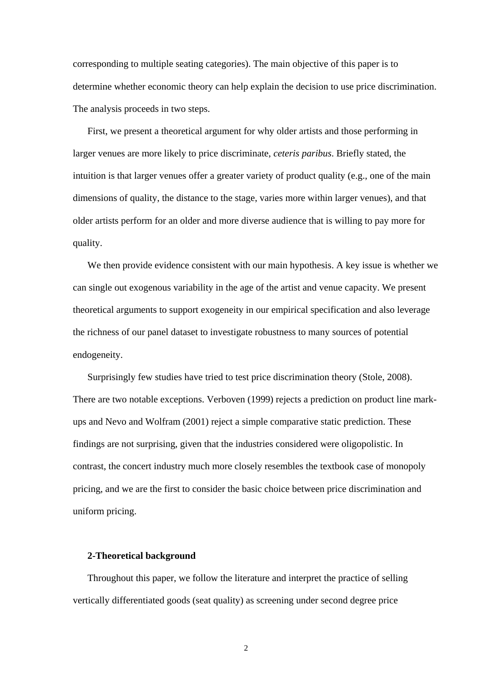corresponding to multiple seating categories). The main objective of this paper is to determine whether economic theory can help explain the decision to use price discrimination. The analysis proceeds in two steps.

First, we present a theoretical argument for why older artists and those performing in larger venues are more likely to price discriminate, *ceteris paribus*. Briefly stated, the intuition is that larger venues offer a greater variety of product quality (e.g., one of the main dimensions of quality, the distance to the stage, varies more within larger venues), and that older artists perform for an older and more diverse audience that is willing to pay more for quality.

We then provide evidence consistent with our main hypothesis. A key issue is whether we can single out exogenous variability in the age of the artist and venue capacity. We present theoretical arguments to support exogeneity in our empirical specification and also leverage the richness of our panel dataset to investigate robustness to many sources of potential endogeneity.

Surprisingly few studies have tried to test price discrimination theory (Stole, 2008). There are two notable exceptions. Verboven (1999) rejects a prediction on product line markups and Nevo and Wolfram (2001) reject a simple comparative static prediction. These findings are not surprising, given that the industries considered were oligopolistic. In contrast, the concert industry much more closely resembles the textbook case of monopoly pricing, and we are the first to consider the basic choice between price discrimination and uniform pricing.

# **2-Theoretical background**

Throughout this paper, we follow the literature and interpret the practice of selling vertically differentiated goods (seat quality) as screening under second degree price

2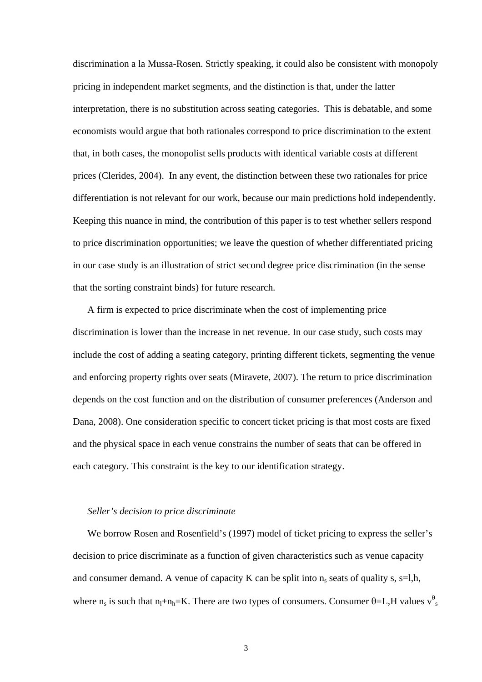discrimination a la Mussa-Rosen. Strictly speaking, it could also be consistent with monopoly pricing in independent market segments, and the distinction is that, under the latter interpretation, there is no substitution across seating categories. This is debatable, and some economists would argue that both rationales correspond to price discrimination to the extent that, in both cases, the monopolist sells products with identical variable costs at different prices (Clerides, 2004). In any event, the distinction between these two rationales for price differentiation is not relevant for our work, because our main predictions hold independently. Keeping this nuance in mind, the contribution of this paper is to test whether sellers respond to price discrimination opportunities; we leave the question of whether differentiated pricing in our case study is an illustration of strict second degree price discrimination (in the sense that the sorting constraint binds) for future research.

A firm is expected to price discriminate when the cost of implementing price discrimination is lower than the increase in net revenue. In our case study, such costs may include the cost of adding a seating category, printing different tickets, segmenting the venue and enforcing property rights over seats (Miravete, 2007). The return to price discrimination depends on the cost function and on the distribution of consumer preferences (Anderson and Dana, 2008). One consideration specific to concert ticket pricing is that most costs are fixed and the physical space in each venue constrains the number of seats that can be offered in each category. This constraint is the key to our identification strategy.

# *Seller's decision to price discriminate*

We borrow Rosen and Rosenfield's (1997) model of ticket pricing to express the seller's decision to price discriminate as a function of given characteristics such as venue capacity and consumer demand. A venue of capacity K can be split into  $n_s$  seats of quality s, s=l,h, where n<sub>s</sub> is such that n<sub>1</sub>+n<sub>h</sub>=K. There are two types of consumers. Consumer  $\theta$ =L,H values v<sup> $\theta$ </sup>s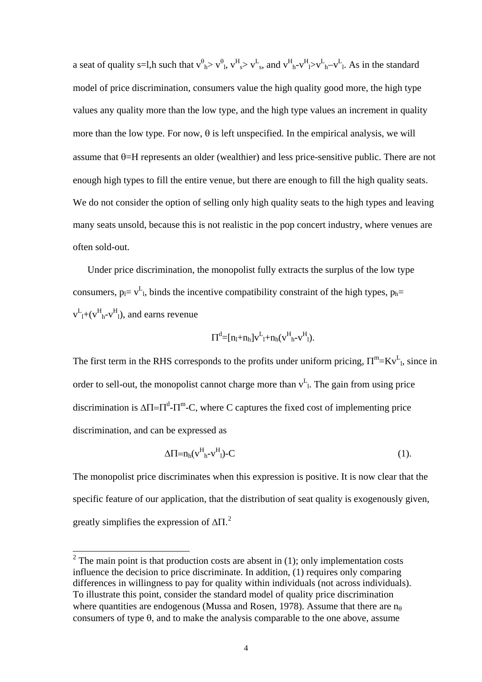a seat of quality s=l,h such that  $v_{h}^{\theta} > v_{h}^{\theta}$ ,  $v_{s}^{\theta} > v_{s}^{\theta}$ , and  $v_{h}^{\theta} > v_{h}^{\theta} > v_{h}^{\theta}$ . As in the standard model of price discrimination, consumers value the high quality good more, the high type values any quality more than the low type, and the high type values an increment in quality more than the low type. For now,  $\theta$  is left unspecified. In the empirical analysis, we will assume that  $\theta$ =H represents an older (wealthier) and less price-sensitive public. There are not enough high types to fill the entire venue, but there are enough to fill the high quality seats. We do not consider the option of selling only high quality seats to the high types and leaving many seats unsold, because this is not realistic in the pop concert industry, where venues are often sold-out.

Under price discrimination, the monopolist fully extracts the surplus of the low type consumers,  $p_l = v^L_l$ , binds the incentive compatibility constraint of the high types,  $p_h$ =  $v_{l}^L$ +( $v_{h}^H$ - $v_{l}^H$ ), and earns revenue

$$
\Pi^d \text{=} [n_l + n_h] v^L_l + n_h (v^H_{h} - v^H_l).
$$

The first term in the RHS corresponds to the profits under uniform pricing,  $\Pi^m = Kv^L$ , since in order to sell-out, the monopolist cannot charge more than  $v<sup>L</sup><sub>L</sub>$ . The gain from using price discrimination is  $\Delta \Pi = \Pi^d - \Pi^m - C$ , where C captures the fixed cost of implementing price discrimination, and can be expressed as

$$
\Delta \Pi = n_h (v^H{}_h - v^H{}_l) - C \tag{1}
$$

The monopolist price discriminates when this expression is positive. It is now clear that the specific feature of our application, that the distribution of seat quality is exogenously given, greatly simplifies the expression of  $\Delta \Pi$ .<sup>[2](#page-8-0)</sup>

<span id="page-8-0"></span> $\frac{1}{2}$  The main point is that production costs are absent in (1); only implementation costs influence the decision to price discriminate. In addition, (1) requires only comparing differences in willingness to pay for quality within individuals (not across individuals). To illustrate this point, consider the standard model of quality price discrimination where quantities are endogenous (Mussa and Rosen, 1978). Assume that there are  $n_{\theta}$ consumers of type  $\theta$ , and to make the analysis comparable to the one above, assume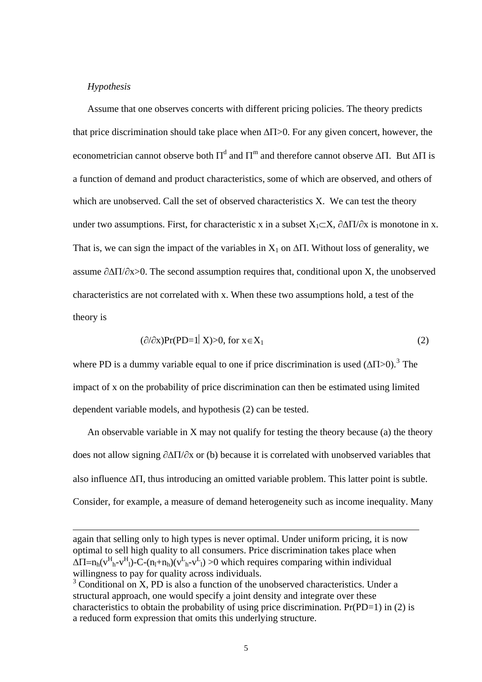# *Hypothesis*

 $\overline{a}$ 

Assume that one observes concerts with different pricing policies. The theory predicts that price discrimination should take place when  $\Delta \Pi$  > 0. For any given concert, however, the econometrician cannot observe both  $\Pi^d$  and  $\Pi^m$  and therefore cannot observe ΔΠ. But ΔΠ is a function of demand and product characteristics, some of which are observed, and others of which are unobserved. Call the set of observed characteristics X. We can test the theory under two assumptions. First, for characteristic x in a subset  $X_1 \subset X$ ,  $\partial \Delta \Pi / \partial x$  is monotone in x. That is, we can sign the impact of the variables in  $X_1$  on  $\Delta \Pi$ . Without loss of generality, we assume  $\partial \Delta \Pi / \partial x$  > 0. The second assumption requires that, conditional upon X, the unobserved characteristics are not correlated with x. When these two assumptions hold, a test of the theory is

$$
(\partial/\partial x)Pr(PD=1|X) > 0, \text{ for } x \in X_1 \tag{2}
$$

where PD is a dummy variable equal to one if price discrimination is used  $(\Delta \Pi > 0)$ .<sup>[3](#page-9-0)</sup> The impact of x on the probability of price discrimination can then be estimated using limited dependent variable models, and hypothesis (2) can be tested.

An observable variable in X may not qualify for testing the theory because (a) the theory does not allow signing ∂ΔΠ/∂x or (b) because it is correlated with unobserved variables that also influence ΔΠ, thus introducing an omitted variable problem. This latter point is subtle. Consider, for example, a measure of demand heterogeneity such as income inequality. Many

again that selling only to high types is never optimal. Under uniform pricing, it is now optimal to sell high quality to all consumers. Price discrimination takes place when  $\Delta \Pi = n_h(v_{h}^H - v_{l}^H) - C - (n_l + n_h)(v_{h}^L - v_{l}^L) > 0$  which requires comparing within individual willingness to pay for quality across individuals.

<span id="page-9-0"></span><sup>&</sup>lt;sup>3</sup> Conditional on X, PD is also a function of the unobserved characteristics. Under a structural approach, one would specify a joint density and integrate over these characteristics to obtain the probability of using price discrimination.  $Pr(PD=1)$  in (2) is a reduced form expression that omits this underlying structure.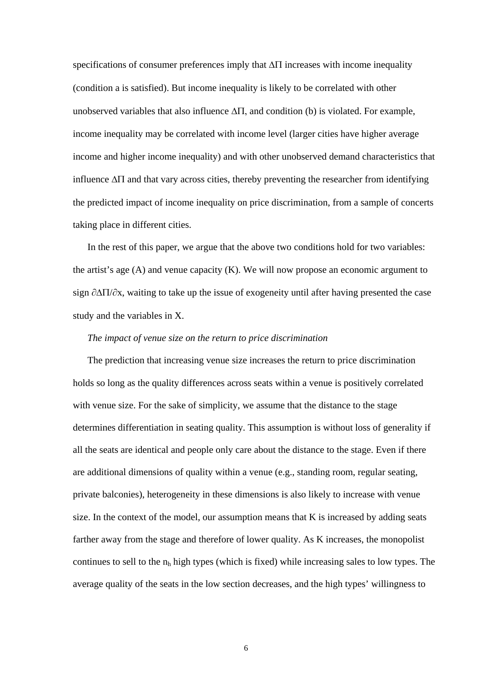specifications of consumer preferences imply that  $\Delta \Pi$  increases with income inequality (condition a is satisfied). But income inequality is likely to be correlated with other unobserved variables that also influence  $\Delta \Pi$ , and condition (b) is violated. For example, income inequality may be correlated with income level (larger cities have higher average income and higher income inequality) and with other unobserved demand characteristics that influence ΔΠ and that vary across cities, thereby preventing the researcher from identifying the predicted impact of income inequality on price discrimination, from a sample of concerts taking place in different cities.

In the rest of this paper, we argue that the above two conditions hold for two variables: the artist's age (A) and venue capacity (K). We will now propose an economic argument to sign ∂ΔΠ/∂x, waiting to take up the issue of exogeneity until after having presented the case study and the variables in X.

#### *The impact of venue size on the return to price discrimination*

The prediction that increasing venue size increases the return to price discrimination holds so long as the quality differences across seats within a venue is positively correlated with venue size. For the sake of simplicity, we assume that the distance to the stage determines differentiation in seating quality. This assumption is without loss of generality if all the seats are identical and people only care about the distance to the stage. Even if there are additional dimensions of quality within a venue (e.g., standing room, regular seating, private balconies), heterogeneity in these dimensions is also likely to increase with venue size. In the context of the model, our assumption means that K is increased by adding seats farther away from the stage and therefore of lower quality. As K increases, the monopolist continues to sell to the  $n_h$  high types (which is fixed) while increasing sales to low types. The average quality of the seats in the low section decreases, and the high types' willingness to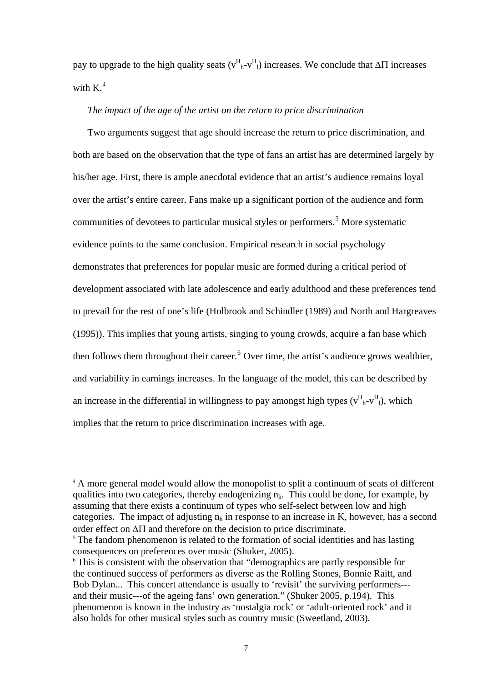pay to upgrade to the high quality seats  $(v_{h}^{H} - v_{l}^{H})$  increases. We conclude that  $\Delta \Pi$  increases with  $K^4$  $K^4$ 

# *The impact of the age of the artist on the return to price discrimination*

Two arguments suggest that age should increase the return to price discrimination, and both are based on the observation that the type of fans an artist has are determined largely by his/her age. First, there is ample anecdotal evidence that an artist's audience remains loyal over the artist's entire career. Fans make up a significant portion of the audience and form communities of devotees to particular musical styles or performers.<sup>[5](#page-11-1)</sup> More systematic evidence points to the same conclusion. Empirical research in social psychology demonstrates that preferences for popular music are formed during a critical period of development associated with late adolescence and early adulthood and these preferences tend to prevail for the rest of one's life (Holbrook and Schindler (1989) and North and Hargreaves (1995)). This implies that young artists, singing to young crowds, acquire a fan base which then follows them throughout their career.  $6$  Over time, the artist's audience grows wealthier, and variability in earnings increases. In the language of the model, this can be described by an increase in the differential in willingness to pay amongst high types  $(v_{h}^{H}v_{l}^{H})$ , which implies that the return to price discrimination increases with age.

 $\overline{a}$ 

<span id="page-11-0"></span><sup>&</sup>lt;sup>4</sup> A more general model would allow the monopolist to split a continuum of seats of different qualities into two categories, thereby endogenizing  $n_h$ . This could be done, for example, by assuming that there exists a continuum of types who self-select between low and high categories. The impact of adjusting  $n_h$  in response to an increase in K, however, has a second order effect on ΔΠ and therefore on the decision to price discriminate.

<span id="page-11-1"></span><sup>&</sup>lt;sup>5</sup> The fandom phenomenon is related to the formation of social identities and has lasting consequences on preferences over music (Shuker, 2005).

<span id="page-11-2"></span><sup>&</sup>lt;sup>6</sup> This is consistent with the observation that "demographics are partly responsible for the continued success of performers as diverse as the Rolling Stones, Bonnie Raitt, and Bob Dylan... This concert attendance is usually to 'revisit' the surviving performers-- and their music---of the ageing fans' own generation." (Shuker 2005, p.194). This phenomenon is known in the industry as 'nostalgia rock' or 'adult-oriented rock' and it also holds for other musical styles such as country music (Sweetland, 2003).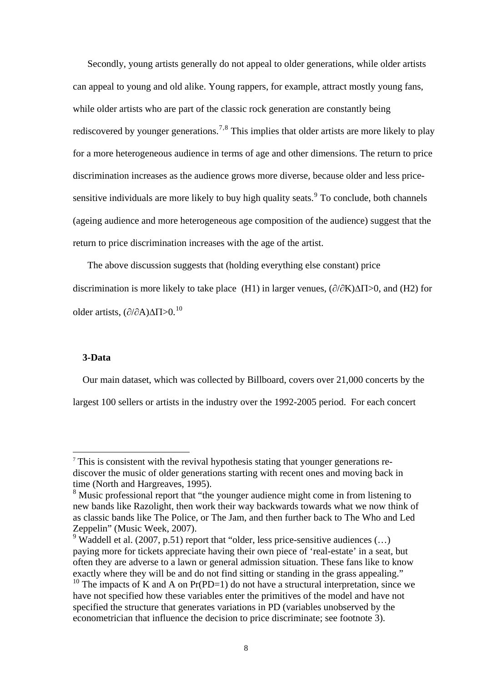Secondly, young artists generally do not appeal to older generations, while older artists can appeal to young and old alike. Young rappers, for example, attract mostly young fans, while older artists who are part of the classic rock generation are constantly being rediscovered by younger generations.<sup>[7](#page-12-0),[8](#page-12-1)</sup> This implies that older artists are more likely to play for a more heterogeneous audience in terms of age and other dimensions. The return to price discrimination increases as the audience grows more diverse, because older and less price-sensitive individuals are more likely to buy high quality seats. <sup>[9](#page-12-2)</sup> To conclude, both channels (ageing audience and more heterogeneous age composition of the audience) suggest that the return to price discrimination increases with the age of the artist.

The above discussion suggests that (holding everything else constant) price discrimination is more likely to take place (H1) in larger venues,  $(\partial/\partial K)\Delta\Pi>0$ , and (H2) for older artists,  $\left(\frac{\partial}{\partial A}\right)$  $\Lambda$ T $>0$ ,  $^{10}$  $^{10}$  $^{10}$ 

# **3-Data**

 $\overline{a}$ 

Our main dataset, which was collected by Billboard, covers over 21,000 concerts by the largest 100 sellers or artists in the industry over the 1992-2005 period. For each concert

<span id="page-12-0"></span><sup>7</sup> This is consistent with the revival hypothesis stating that younger generations rediscover the music of older generations starting with recent ones and moving back in time (North and Hargreaves, 1995).

<span id="page-12-1"></span><sup>&</sup>lt;sup>8</sup> Music professional report that "the younger audience might come in from listening to new bands like Razolight, then work their way backwards towards what we now think of as classic bands like The Police, or The Jam, and then further back to The Who and Led Zeppelin" (Music Week, 2007).

<span id="page-12-2"></span><sup>&</sup>lt;sup>9</sup> Waddell et al. (2007, p.51) report that "older, less price-sensitive audiences  $(...)$ paying more for tickets appreciate having their own piece of 'real-estate' in a seat, but often they are adverse to a lawn or general admission situation. These fans like to know exactly where they will be and do not find sitting or standing in the grass appealing."

<span id="page-12-3"></span><sup>&</sup>lt;sup>10</sup> The impacts of K and A on Pr(PD=1) do not have a structural interpretation, since we have not specified how these variables enter the primitives of the model and have not specified the structure that generates variations in PD (variables unobserved by the econometrician that influence the decision to price discriminate; see footnote 3).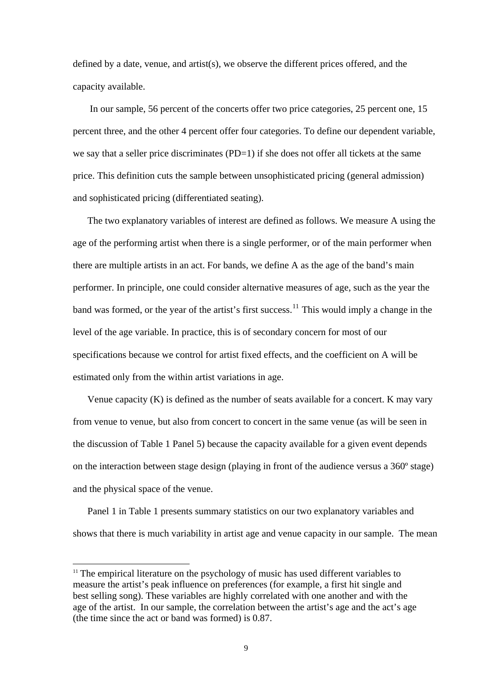defined by a date, venue, and artist(s), we observe the different prices offered, and the capacity available.

 In our sample, 56 percent of the concerts offer two price categories, 25 percent one, 15 percent three, and the other 4 percent offer four categories. To define our dependent variable, we say that a seller price discriminates (PD=1) if she does not offer all tickets at the same price. This definition cuts the sample between unsophisticated pricing (general admission) and sophisticated pricing (differentiated seating).

The two explanatory variables of interest are defined as follows. We measure A using the age of the performing artist when there is a single performer, or of the main performer when there are multiple artists in an act. For bands, we define A as the age of the band's main performer. In principle, one could consider alternative measures of age, such as the year the band was formed, or the year of the artist's first success.<sup>[11](#page-13-0)</sup> This would imply a change in the level of the age variable. In practice, this is of secondary concern for most of our specifications because we control for artist fixed effects, and the coefficient on A will be estimated only from the within artist variations in age.

Venue capacity  $(K)$  is defined as the number of seats available for a concert. K may vary from venue to venue, but also from concert to concert in the same venue (as will be seen in the discussion of Table 1 Panel 5) because the capacity available for a given event depends on the interaction between stage design (playing in front of the audience versus a 360º stage) and the physical space of the venue.

Panel 1 in Table 1 presents summary statistics on our two explanatory variables and shows that there is much variability in artist age and venue capacity in our sample. The mean

 $\overline{a}$ 

<span id="page-13-0"></span> $11$ <sup>11</sup> The empirical literature on the psychology of music has used different variables to measure the artist's peak influence on preferences (for example, a first hit single and best selling song). These variables are highly correlated with one another and with the age of the artist. In our sample, the correlation between the artist's age and the act's age (the time since the act or band was formed) is 0.87.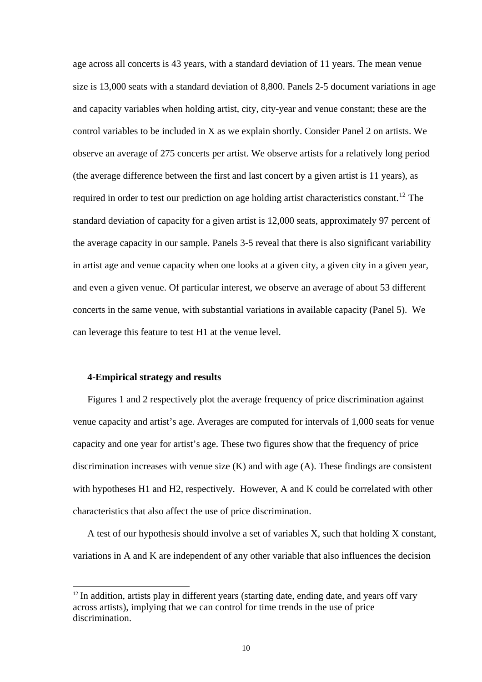age across all concerts is 43 years, with a standard deviation of 11 years. The mean venue size is 13,000 seats with a standard deviation of 8,800. Panels 2-5 document variations in age and capacity variables when holding artist, city, city-year and venue constant; these are the control variables to be included in X as we explain shortly. Consider Panel 2 on artists. We observe an average of 275 concerts per artist. We observe artists for a relatively long period (the average difference between the first and last concert by a given artist is 11 years), as required in order to test our prediction on age holding artist characteristics constant.<sup>[12](#page-14-0)</sup> The standard deviation of capacity for a given artist is 12,000 seats, approximately 97 percent of the average capacity in our sample. Panels 3-5 reveal that there is also significant variability in artist age and venue capacity when one looks at a given city, a given city in a given year, and even a given venue. Of particular interest, we observe an average of about 53 different concerts in the same venue, with substantial variations in available capacity (Panel 5). We can leverage this feature to test H1 at the venue level.

# **4-Empirical strategy and results**

 $\overline{a}$ 

Figures 1 and 2 respectively plot the average frequency of price discrimination against venue capacity and artist's age. Averages are computed for intervals of 1,000 seats for venue capacity and one year for artist's age. These two figures show that the frequency of price discrimination increases with venue size (K) and with age (A). These findings are consistent with hypotheses H1 and H2, respectively. However, A and K could be correlated with other characteristics that also affect the use of price discrimination.

A test of our hypothesis should involve a set of variables X, such that holding X constant, variations in A and K are independent of any other variable that also influences the decision

<span id="page-14-0"></span> $12$  In addition, artists play in different years (starting date, ending date, and years off vary across artists), implying that we can control for time trends in the use of price discrimination.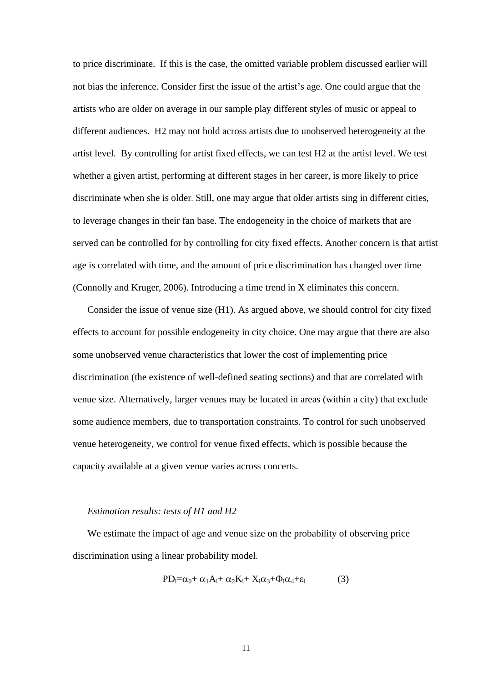to price discriminate. If this is the case, the omitted variable problem discussed earlier will not bias the inference. Consider first the issue of the artist's age. One could argue that the artists who are older on average in our sample play different styles of music or appeal to different audiences. H2 may not hold across artists due to unobserved heterogeneity at the artist level. By controlling for artist fixed effects, we can test H2 at the artist level. We test whether a given artist, performing at different stages in her career, is more likely to price discriminate when she is older. Still, one may argue that older artists sing in different cities, to leverage changes in their fan base. The endogeneity in the choice of markets that are served can be controlled for by controlling for city fixed effects. Another concern is that artist age is correlated with time, and the amount of price discrimination has changed over time (Connolly and Kruger, 2006). Introducing a time trend in X eliminates this concern.

Consider the issue of venue size (H1). As argued above, we should control for city fixed effects to account for possible endogeneity in city choice. One may argue that there are also some unobserved venue characteristics that lower the cost of implementing price discrimination (the existence of well-defined seating sections) and that are correlated with venue size. Alternatively, larger venues may be located in areas (within a city) that exclude some audience members, due to transportation constraints. To control for such unobserved venue heterogeneity, we control for venue fixed effects, which is possible because the capacity available at a given venue varies across concerts.

#### *Estimation results: tests of H1 and H2*

We estimate the impact of age and venue size on the probability of observing price discrimination using a linear probability model.

$$
PD_i = \alpha_0 + \alpha_1 A_i + \alpha_2 K_i + X_i \alpha_3 + \Phi_i \alpha_4 + \varepsilon_i \tag{3}
$$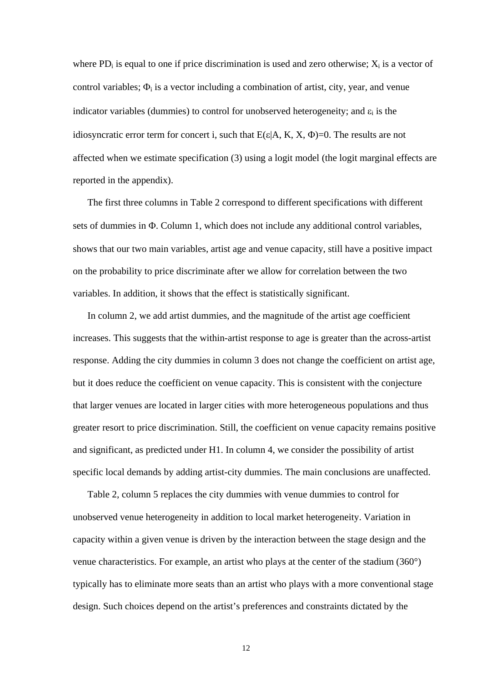where  $PD_i$  is equal to one if price discrimination is used and zero otherwise;  $X_i$  is a vector of control variables;  $\Phi_i$  is a vector including a combination of artist, city, year, and venue indicator variables (dummies) to control for unobserved heterogeneity; and  $\varepsilon_i$  is the idiosyncratic error term for concert i, such that  $E(\epsilon|A, K, X, \Phi) = 0$ . The results are not affected when we estimate specification (3) using a logit model (the logit marginal effects are reported in the appendix).

The first three columns in Table 2 correspond to different specifications with different sets of dummies in Φ. Column 1, which does not include any additional control variables, shows that our two main variables, artist age and venue capacity, still have a positive impact on the probability to price discriminate after we allow for correlation between the two variables. In addition, it shows that the effect is statistically significant.

In column 2, we add artist dummies, and the magnitude of the artist age coefficient increases. This suggests that the within-artist response to age is greater than the across-artist response. Adding the city dummies in column 3 does not change the coefficient on artist age, but it does reduce the coefficient on venue capacity. This is consistent with the conjecture that larger venues are located in larger cities with more heterogeneous populations and thus greater resort to price discrimination. Still, the coefficient on venue capacity remains positive and significant, as predicted under H1. In column 4, we consider the possibility of artist specific local demands by adding artist-city dummies. The main conclusions are unaffected.

Table 2, column 5 replaces the city dummies with venue dummies to control for unobserved venue heterogeneity in addition to local market heterogeneity. Variation in capacity within a given venue is driven by the interaction between the stage design and the venue characteristics. For example, an artist who plays at the center of the stadium (360°) typically has to eliminate more seats than an artist who plays with a more conventional stage design. Such choices depend on the artist's preferences and constraints dictated by the

12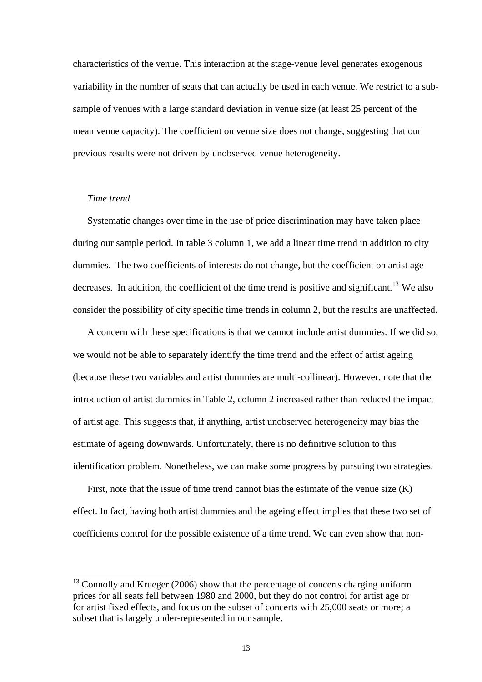characteristics of the venue. This interaction at the stage-venue level generates exogenous variability in the number of seats that can actually be used in each venue. We restrict to a subsample of venues with a large standard deviation in venue size (at least 25 percent of the mean venue capacity). The coefficient on venue size does not change, suggesting that our previous results were not driven by unobserved venue heterogeneity.

# *Time trend*

 $\overline{a}$ 

Systematic changes over time in the use of price discrimination may have taken place during our sample period. In table 3 column 1, we add a linear time trend in addition to city dummies. The two coefficients of interests do not change, but the coefficient on artist age decreases. In addition, the coefficient of the time trend is positive and significant.<sup>[13](#page-17-0)</sup> We also consider the possibility of city specific time trends in column 2, but the results are unaffected.

A concern with these specifications is that we cannot include artist dummies. If we did so, we would not be able to separately identify the time trend and the effect of artist ageing (because these two variables and artist dummies are multi-collinear). However, note that the introduction of artist dummies in Table 2, column 2 increased rather than reduced the impact of artist age. This suggests that, if anything, artist unobserved heterogeneity may bias the estimate of ageing downwards. Unfortunately, there is no definitive solution to this identification problem. Nonetheless, we can make some progress by pursuing two strategies.

First, note that the issue of time trend cannot bias the estimate of the venue size (K) effect. In fact, having both artist dummies and the ageing effect implies that these two set of coefficients control for the possible existence of a time trend. We can even show that non-

<span id="page-17-0"></span> $13$  Connolly and Krueger (2006) show that the percentage of concerts charging uniform prices for all seats fell between 1980 and 2000, but they do not control for artist age or for artist fixed effects, and focus on the subset of concerts with 25,000 seats or more; a subset that is largely under-represented in our sample.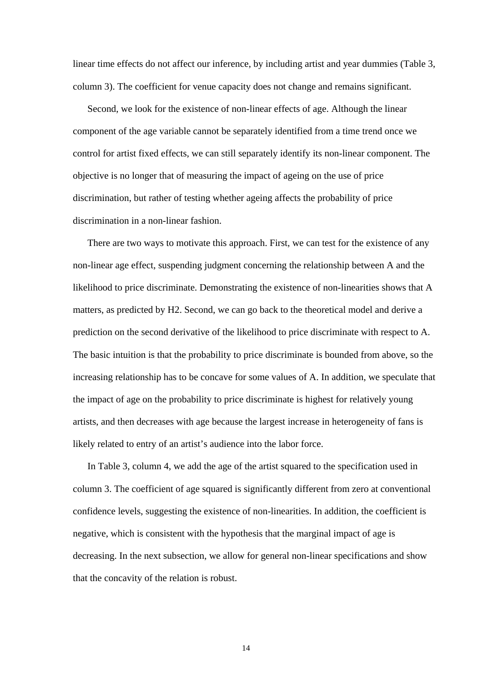linear time effects do not affect our inference, by including artist and year dummies (Table 3, column 3). The coefficient for venue capacity does not change and remains significant.

Second, we look for the existence of non-linear effects of age. Although the linear component of the age variable cannot be separately identified from a time trend once we control for artist fixed effects, we can still separately identify its non-linear component. The objective is no longer that of measuring the impact of ageing on the use of price discrimination, but rather of testing whether ageing affects the probability of price discrimination in a non-linear fashion.

There are two ways to motivate this approach. First, we can test for the existence of any non-linear age effect, suspending judgment concerning the relationship between A and the likelihood to price discriminate. Demonstrating the existence of non-linearities shows that A matters, as predicted by H2. Second, we can go back to the theoretical model and derive a prediction on the second derivative of the likelihood to price discriminate with respect to A. The basic intuition is that the probability to price discriminate is bounded from above, so the increasing relationship has to be concave for some values of A. In addition, we speculate that the impact of age on the probability to price discriminate is highest for relatively young artists, and then decreases with age because the largest increase in heterogeneity of fans is likely related to entry of an artist's audience into the labor force.

In Table 3, column 4, we add the age of the artist squared to the specification used in column 3. The coefficient of age squared is significantly different from zero at conventional confidence levels, suggesting the existence of non-linearities. In addition, the coefficient is negative, which is consistent with the hypothesis that the marginal impact of age is decreasing. In the next subsection, we allow for general non-linear specifications and show that the concavity of the relation is robust.

14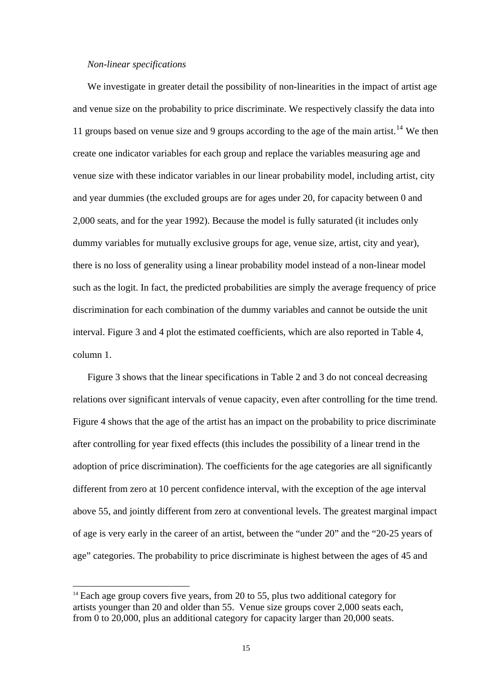# *Non-linear specifications*

 $\overline{a}$ 

We investigate in greater detail the possibility of non-linearities in the impact of artist age and venue size on the probability to price discriminate. We respectively classify the data into 11 groups based on venue size and 9 groups according to the age of the main artist.<sup>[14](#page-19-0)</sup> We then create one indicator variables for each group and replace the variables measuring age and venue size with these indicator variables in our linear probability model, including artist, city and year dummies (the excluded groups are for ages under 20, for capacity between 0 and 2,000 seats, and for the year 1992). Because the model is fully saturated (it includes only dummy variables for mutually exclusive groups for age, venue size, artist, city and year), there is no loss of generality using a linear probability model instead of a non-linear model such as the logit. In fact, the predicted probabilities are simply the average frequency of price discrimination for each combination of the dummy variables and cannot be outside the unit interval. Figure 3 and 4 plot the estimated coefficients, which are also reported in Table 4, column 1.

Figure 3 shows that the linear specifications in Table 2 and 3 do not conceal decreasing relations over significant intervals of venue capacity, even after controlling for the time trend. Figure 4 shows that the age of the artist has an impact on the probability to price discriminate after controlling for year fixed effects (this includes the possibility of a linear trend in the adoption of price discrimination). The coefficients for the age categories are all significantly different from zero at 10 percent confidence interval, with the exception of the age interval above 55, and jointly different from zero at conventional levels. The greatest marginal impact of age is very early in the career of an artist, between the "under 20" and the "20-25 years of age" categories. The probability to price discriminate is highest between the ages of 45 and

<span id="page-19-0"></span> $14$  Each age group covers five years, from 20 to 55, plus two additional category for artists younger than 20 and older than 55. Venue size groups cover 2,000 seats each, from 0 to 20,000, plus an additional category for capacity larger than 20,000 seats.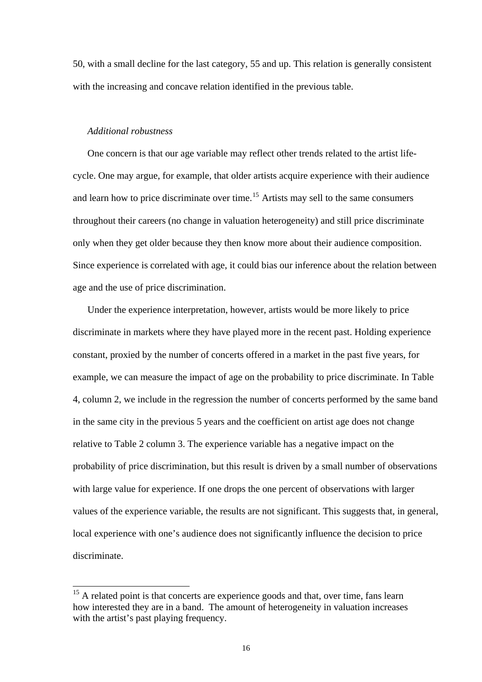50, with a small decline for the last category, 55 and up. This relation is generally consistent with the increasing and concave relation identified in the previous table.

# *Additional robustness*

 $\overline{a}$ 

One concern is that our age variable may reflect other trends related to the artist lifecycle. One may argue, for example, that older artists acquire experience with their audience and learn how to price discriminate over time.<sup>[15](#page-20-0)</sup> Artists may sell to the same consumers throughout their careers (no change in valuation heterogeneity) and still price discriminate only when they get older because they then know more about their audience composition. Since experience is correlated with age, it could bias our inference about the relation between age and the use of price discrimination.

Under the experience interpretation, however, artists would be more likely to price discriminate in markets where they have played more in the recent past. Holding experience constant, proxied by the number of concerts offered in a market in the past five years, for example, we can measure the impact of age on the probability to price discriminate. In Table 4, column 2, we include in the regression the number of concerts performed by the same band in the same city in the previous 5 years and the coefficient on artist age does not change relative to Table 2 column 3. The experience variable has a negative impact on the probability of price discrimination, but this result is driven by a small number of observations with large value for experience. If one drops the one percent of observations with larger values of the experience variable, the results are not significant. This suggests that, in general, local experience with one's audience does not significantly influence the decision to price discriminate.

<span id="page-20-0"></span> $15$  A related point is that concerts are experience goods and that, over time, fans learn how interested they are in a band. The amount of heterogeneity in valuation increases with the artist's past playing frequency.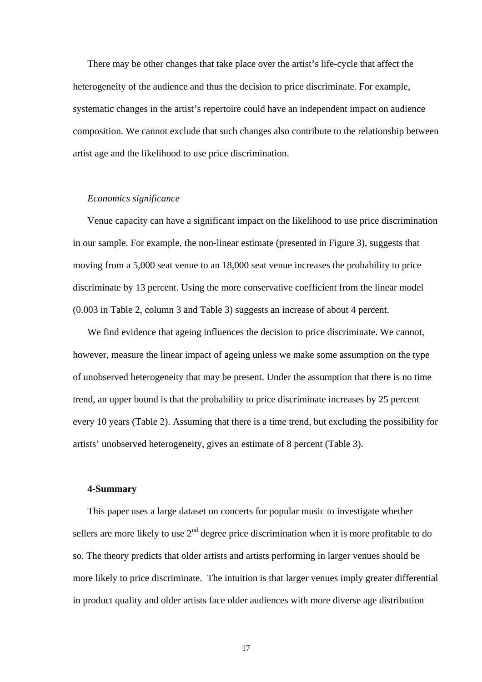There may be other changes that take place over the artist's life-cycle that affect the heterogeneity of the audience and thus the decision to price discriminate. For example, systematic changes in the artist's repertoire could have an independent impact on audience composition. We cannot exclude that such changes also contribute to the relationship between artist age and the likelihood to use price discrimination.

#### *Economics significance*

Venue capacity can have a significant impact on the likelihood to use price discrimination in our sample. For example, the non-linear estimate (presented in Figure 3), suggests that moving from a 5,000 seat venue to an 18,000 seat venue increases the probability to price discriminate by 13 percent. Using the more conservative coefficient from the linear model (0.003 in Table 2, column 3 and Table 3) suggests an increase of about 4 percent.

We find evidence that ageing influences the decision to price discriminate. We cannot, however, measure the linear impact of ageing unless we make some assumption on the type of unobserved heterogeneity that may be present. Under the assumption that there is no time trend, an upper bound is that the probability to price discriminate increases by 25 percent every 10 years (Table 2). Assuming that there is a time trend, but excluding the possibility for artists' unobserved heterogeneity, gives an estimate of 8 percent (Table 3).

#### **4-Summary**

This paper uses a large dataset on concerts for popular music to investigate whether sellers are more likely to use  $2<sup>nd</sup>$  degree price discrimination when it is more profitable to do so. The theory predicts that older artists and artists performing in larger venues should be more likely to price discriminate. The intuition is that larger venues imply greater differential in product quality and older artists face older audiences with more diverse age distribution

17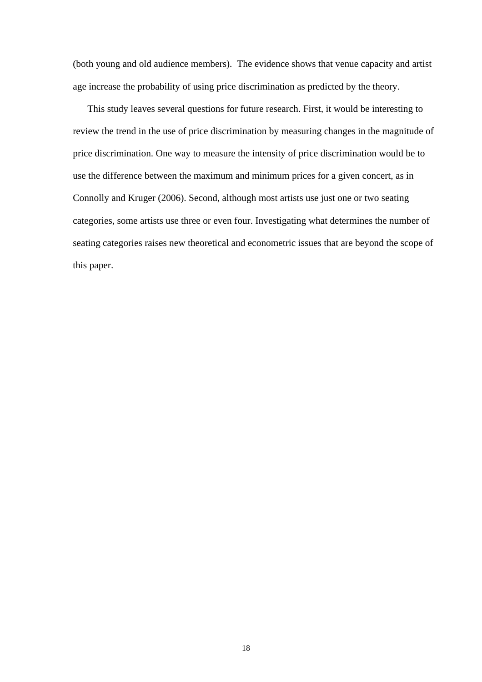(both young and old audience members). The evidence shows that venue capacity and artist age increase the probability of using price discrimination as predicted by the theory.

This study leaves several questions for future research. First, it would be interesting to review the trend in the use of price discrimination by measuring changes in the magnitude of price discrimination. One way to measure the intensity of price discrimination would be to use the difference between the maximum and minimum prices for a given concert, as in Connolly and Kruger (2006). Second, although most artists use just one or two seating categories, some artists use three or even four. Investigating what determines the number of seating categories raises new theoretical and econometric issues that are beyond the scope of this paper.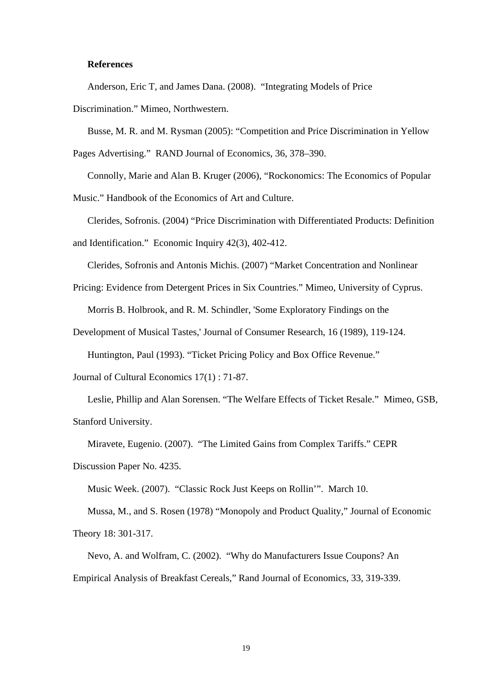# **References**

Anderson, Eric T, and James Dana. (2008). "Integrating Models of Price

Discrimination." Mimeo, Northwestern.

Busse, M. R. and M. Rysman (2005): "Competition and Price Discrimination in Yellow

Pages Advertising." RAND Journal of Economics, 36, 378–390.

Connolly, Marie and Alan B. Kruger (2006), "Rockonomics: The Economics of Popular

Music." Handbook of the Economics of Art and Culture.

Clerides, Sofronis. (2004) "Price Discrimination with Differentiated Products: Definition and Identification." Economic Inquiry 42(3), 402-412.

Clerides, Sofronis and Antonis Michis. (2007) "Market Concentration and Nonlinear

Pricing: Evidence from Detergent Prices in Six Countries." Mimeo, University of Cyprus.

Morris B. Holbrook, and R. M. Schindler, 'Some Exploratory Findings on the

Development of Musical Tastes,' Journal of Consumer Research, 16 (1989), 119-124.

Huntington, Paul (1993). "Ticket Pricing Policy and Box Office Revenue."

Journal of Cultural Economics 17(1) : 71-87.

Leslie, Phillip and Alan Sorensen. "The Welfare Effects of Ticket Resale." Mimeo, GSB, Stanford University.

Miravete, Eugenio. (2007). "The Limited Gains from Complex Tariffs." CEPR

Discussion Paper No. 4235.

Music Week. (2007). "Classic Rock Just Keeps on Rollin'". March 10.

Mussa, M., and S. Rosen (1978) "Monopoly and Product Quality," Journal of Economic Theory 18: 301-317.

Nevo, A. and Wolfram, C. (2002). "Why do Manufacturers Issue Coupons? An Empirical Analysis of Breakfast Cereals," Rand Journal of Economics, 33, 319-339.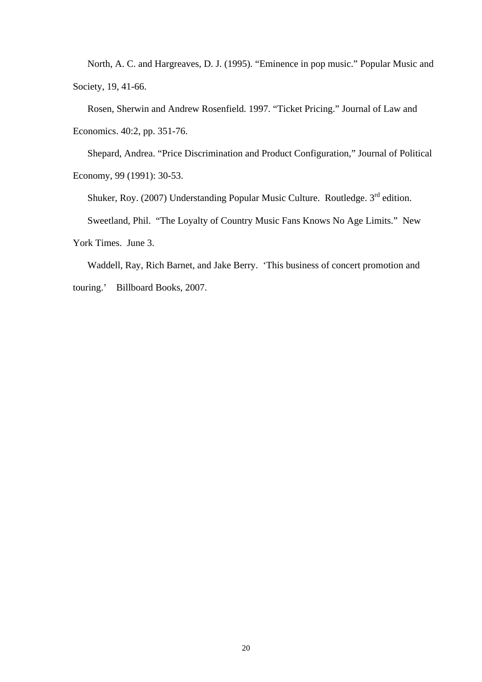North, A. C. and Hargreaves, D. J. (1995). "Eminence in pop music." Popular Music and Society, 19, 41-66.

Rosen, Sherwin and Andrew Rosenfield. 1997. "Ticket Pricing." Journal of Law and Economics. 40:2, pp. 351-76.

Shepard, Andrea. "Price Discrimination and Product Configuration," Journal of Political Economy, 99 (1991): 30-53.

Shuker, Roy. (2007) Understanding Popular Music Culture. Routledge. 3<sup>rd</sup> edition.

Sweetland, Phil. "The Loyalty of Country Music Fans Knows No Age Limits." New

York Times. June 3.

Waddell, Ray, Rich Barnet, and Jake Berry. 'This business of concert promotion and touring.' Billboard Books, 2007.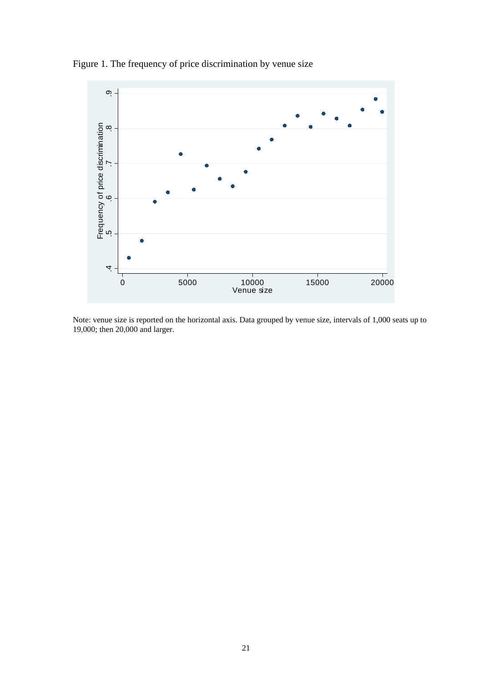

Figure 1. The frequency of price discrimination by venue size

Note: venue size is reported on the horizontal axis. Data grouped by venue size, intervals of 1,000 seats up to 19,000; then 20,000 and larger.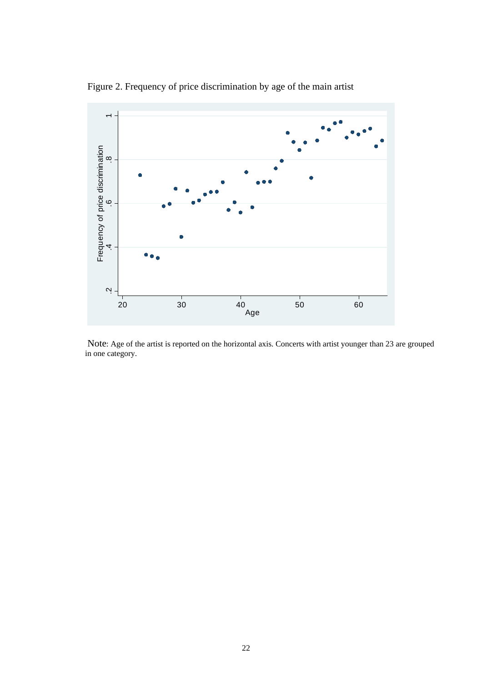

Figure 2. Frequency of price discrimination by age of the main artist

Note: Age of the artist is reported on the horizontal axis. Concerts with artist younger than 23 are grouped in one category.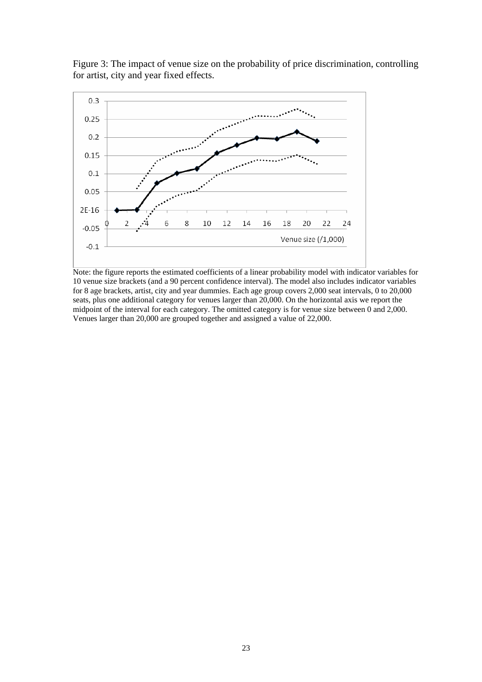



Note: the figure reports the estimated coefficients of a linear probability model with indicator variables for 10 venue size brackets (and a 90 percent confidence interval). The model also includes indicator variables for 8 age brackets, artist, city and year dummies. Each age group covers 2,000 seat intervals, 0 to 20,000 seats, plus one additional category for venues larger than 20,000. On the horizontal axis we report the midpoint of the interval for each category. The omitted category is for venue size between 0 and 2,000. Venues larger than 20,000 are grouped together and assigned a value of 22,000.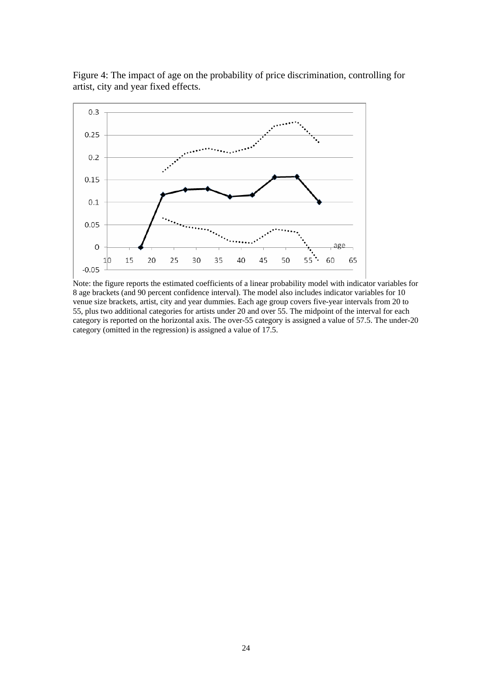

Figure 4: The impact of age on the probability of price discrimination, controlling for artist, city and year fixed effects.

Note: the figure reports the estimated coefficients of a linear probability model with indicator variables for 8 age brackets (and 90 percent confidence interval). The model also includes indicator variables for 10 venue size brackets, artist, city and year dummies. Each age group covers five-year intervals from 20 to 55, plus two additional categories for artists under 20 and over 55. The midpoint of the interval for each category is reported on the horizontal axis. The over-55 category is assigned a value of 57.5. The under-20 category (omitted in the regression) is assigned a value of 17.5.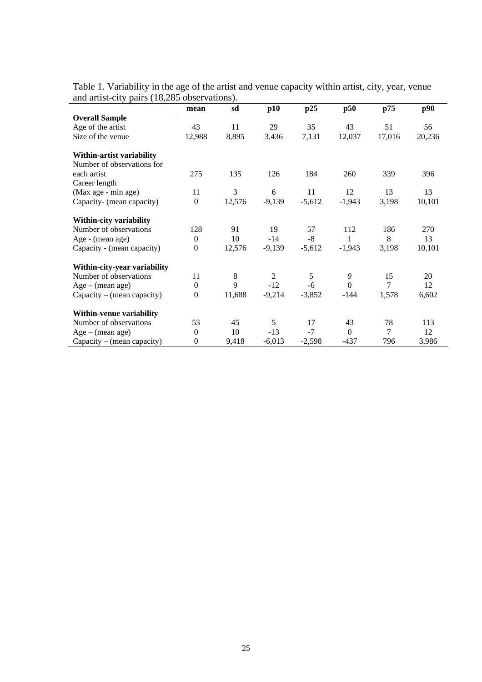| and artist-city parts (18,289 Observations). |                  |         |                |          |          |        |        |
|----------------------------------------------|------------------|---------|----------------|----------|----------|--------|--------|
|                                              | mean             | sd      | p10            | p25      | p50      | p75    | p90    |
| <b>Overall Sample</b>                        |                  |         |                |          |          |        |        |
| Age of the artist                            | 43               | 11      | 29             | 35       | 43       | 51     | 56     |
| Size of the venue                            | 12,988           | 8,895   | 3,436          | 7,131    | 12,037   | 17,016 | 20,236 |
| Within-artist variability                    |                  |         |                |          |          |        |        |
| Number of observations for                   |                  |         |                |          |          |        |        |
| each artist                                  | 275              | 135     | 126            | 184      | 260      | 339    | 396    |
| Career length                                |                  |         |                |          |          |        |        |
| (Max age - min age)                          | 11               | 3       | 6              | 11       | 12       | 13     | 13     |
| Capacity- (mean capacity)                    | $\boldsymbol{0}$ | 12,576  | $-9,139$       | $-5,612$ | $-1,943$ | 3,198  | 10,101 |
| Within-city variability                      |                  |         |                |          |          |        |        |
| Number of observations                       | 128              | 91      | 19             | 57       | 112      | 186    | 270    |
| Age - (mean age)                             | $\boldsymbol{0}$ | 10      | $-14$          | $-8$     | 1        | 8      | 13     |
| Capacity - (mean capacity)                   | $\boldsymbol{0}$ | 12,576  | $-9,139$       | $-5,612$ | $-1,943$ | 3,198  | 10,101 |
| Within-city-year variability                 |                  |         |                |          |          |        |        |
| Number of observations                       | 11               | $\,8\,$ | $\overline{2}$ | 5        | 9        | 15     | 20     |
| $Age - (mean age)$                           | $\boldsymbol{0}$ | 9       | $-12$          | $-6$     | $\Omega$ | $\tau$ | 12     |
| Capacity – (mean capacity)                   | $\boldsymbol{0}$ | 11,688  | $-9,214$       | $-3,852$ | $-144$   | 1,578  | 6,602  |
| Within-venue variability                     |                  |         |                |          |          |        |        |
| Number of observations                       | 53               | 45      | 5              | 17       | 43       | 78     | 113    |
| $Age - (mean age)$                           | $\mathbf{0}$     | 10      | $-13$          | $-7$     | $\Omega$ | 7      | 12     |
| Capacity – (mean capacity)                   | $\mathbf{0}$     | 9,418   | $-6,013$       | $-2,598$ | $-437$   | 796    | 3,986  |

Table 1. Variability in the age of the artist and venue capacity within artist, city, year, venue and artist-city pairs (18,285 observations).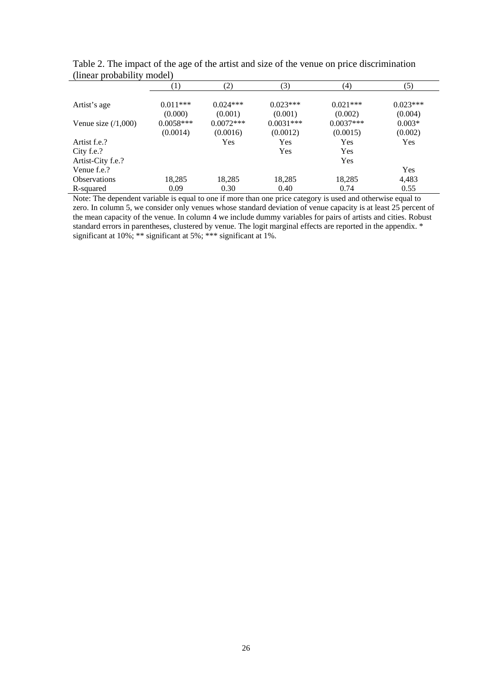|                      | $\left(1\right)$ | (2)         | (3)         | (4)         | (5)        |
|----------------------|------------------|-------------|-------------|-------------|------------|
| Artist's age         | $0.011***$       | $0.024***$  | $0.023***$  | $0.021***$  | $0.023***$ |
|                      | (0.000)          | (0.001)     | (0.001)     | (0.002)     | (0.004)    |
| Venue size $(1,000)$ | $0.0058***$      | $0.0072***$ | $0.0031***$ | $0.0037***$ | $0.003*$   |
|                      | (0.0014)         | (0.0016)    | (0.0012)    | (0.0015)    | (0.002)    |
| Artist f.e.?         |                  | Yes         | Yes         | Yes         | Yes        |
| City f.e.?           |                  |             | Yes         | Yes         |            |
| Artist-City f.e.?    |                  |             |             | Yes         |            |
| Venue f.e.?          |                  |             |             |             | Yes        |
| <b>Observations</b>  | 18,285           | 18,285      | 18,285      | 18,285      | 4,483      |
| R-squared            | 0.09             | 0.30        | 0.40        | 0.74        | 0.55       |

Table 2. The impact of the age of the artist and size of the venue on price discrimination (linear probability model)

Note: The dependent variable is equal to one if more than one price category is used and otherwise equal to zero. In column 5, we consider only venues whose standard deviation of venue capacity is at least 25 percent of the mean capacity of the venue. In column 4 we include dummy variables for pairs of artists and cities. Robust standard errors in parentheses, clustered by venue. The logit marginal effects are reported in the appendix. \* significant at 10%; \*\* significant at 5%; \*\*\* significant at 1%.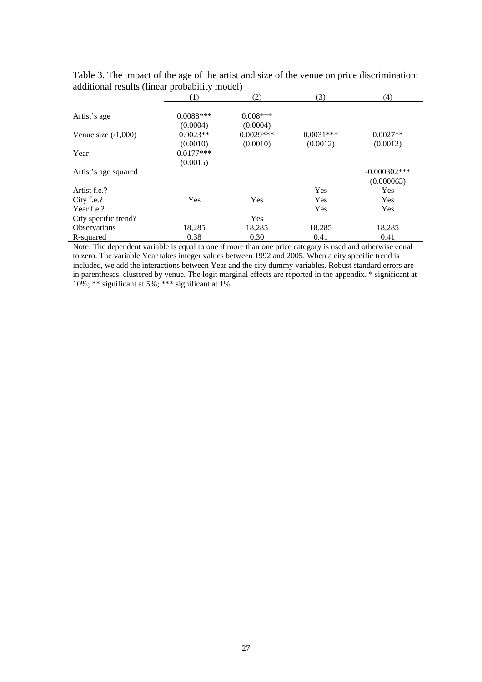|                      | (1)         | (2)         | (3)         | (4)             |
|----------------------|-------------|-------------|-------------|-----------------|
|                      |             |             |             |                 |
| Artist's age         | $0.0088***$ | $0.008***$  |             |                 |
|                      | (0.0004)    | (0.0004)    |             |                 |
| Venue size $(1,000)$ | $0.0023**$  | $0.0029***$ | $0.0031***$ | $0.0027**$      |
|                      | (0.0010)    | (0.0010)    | (0.0012)    | (0.0012)        |
| Year                 | $0.0177***$ |             |             |                 |
|                      | (0.0015)    |             |             |                 |
| Artist's age squared |             |             |             | $-0.000302$ *** |
|                      |             |             |             | (0.000063)      |
| Artist f.e.?         |             |             | Yes         | Yes             |
| City f.e.?           | Yes         | Yes         | Yes         | Yes             |
| Year f.e.?           |             |             | Yes         | Yes             |
| City specific trend? |             | Yes         |             |                 |
| <b>Observations</b>  | 18,285      | 18,285      | 18,285      | 18,285          |
| R-squared            | 0.38        | 0.30        | 0.41        | 0.41            |

Table 3. The impact of the age of the artist and size of the venue on price discrimination: additional results (linear probability model)

Note: The dependent variable is equal to one if more than one price category is used and otherwise equal to zero. The variable Year takes integer values between 1992 and 2005. When a city specific trend is included, we add the interactions between Year and the city dummy variables. Robust standard errors are in parentheses, clustered by venue. The logit marginal effects are reported in the appendix. \* significant at 10%; \*\* significant at 5%; \*\*\* significant at 1%.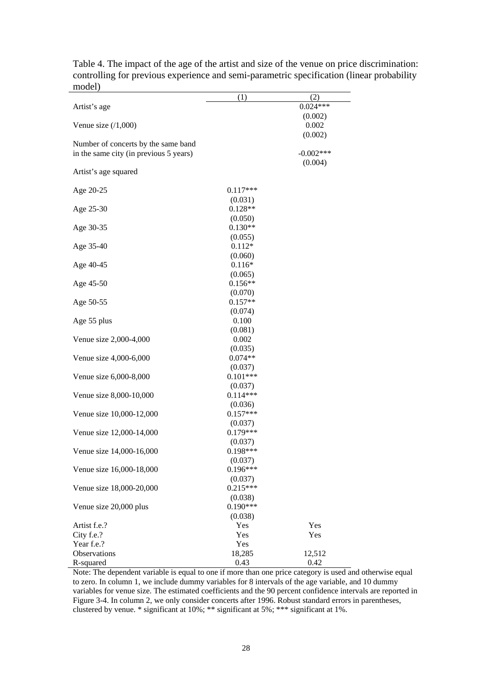|                                        | (1)                   | (2)         |
|----------------------------------------|-----------------------|-------------|
| Artist's age                           |                       | $0.024***$  |
|                                        |                       | (0.002)     |
| Venue size $(1,000)$                   |                       | 0.002       |
|                                        |                       | (0.002)     |
| Number of concerts by the same band    |                       |             |
| in the same city (in previous 5 years) |                       | $-0.002***$ |
|                                        |                       | (0.004)     |
| Artist's age squared                   |                       |             |
|                                        |                       |             |
| Age 20-25                              | $0.117***$            |             |
|                                        | (0.031)<br>$0.128**$  |             |
| Age 25-30                              | (0.050)               |             |
| Age 30-35                              | $0.130**$             |             |
|                                        | (0.055)               |             |
| Age 35-40                              | $0.112*$              |             |
|                                        | (0.060)               |             |
| Age 40-45                              | $0.116*$              |             |
|                                        | (0.065)               |             |
| Age 45-50                              | $0.156**$             |             |
|                                        | (0.070)               |             |
| Age 50-55                              | $0.157**$             |             |
|                                        | (0.074)               |             |
| Age 55 plus                            | 0.100                 |             |
|                                        | (0.081)               |             |
| Venue size 2,000-4,000                 | 0.002                 |             |
|                                        | (0.035)               |             |
| Venue size 4,000-6,000                 | $0.074**$             |             |
|                                        | (0.037)               |             |
| Venue size 6,000-8,000                 | $0.101***$            |             |
| Venue size 8,000-10,000                | (0.037)<br>$0.114***$ |             |
|                                        | (0.036)               |             |
| Venue size 10,000-12,000               | $0.157***$            |             |
|                                        | (0.037)               |             |
| Venue size 12,000-14,000               | $0.179***$            |             |
|                                        | (0.037)               |             |
| Venue size 14,000-16,000               | 0.198***              |             |
|                                        | (0.037)               |             |
| Venue size 16,000-18,000               | $0.196***$            |             |
|                                        | (0.037)               |             |
| Venue size 18,000-20,000               | $0.215***$            |             |
|                                        | (0.038)               |             |
| Venue size 20,000 plus                 | $0.190***$            |             |
|                                        | (0.038)               |             |
| Artist f.e.?                           | Yes                   | Yes         |
| City f.e.?                             | Yes                   | Yes         |
| Year f.e.?                             | Yes                   |             |
| Observations                           | 18,285                | 12,512      |
| R-squared                              | 0.43                  | 0.42        |

Table 4. The impact of the age of the artist and size of the venue on price discrimination: controlling for previous experience and semi-parametric specification (linear probability model)

Note: The dependent variable is equal to one if more than one price category is used and otherwise equal to zero. In column 1, we include dummy variables for 8 intervals of the age variable, and 10 dummy variables for venue size. The estimated coefficients and the 90 percent confidence intervals are reported in Figure 3-4. In column 2, we only consider concerts after 1996. Robust standard errors in parentheses, clustered by venue. \* significant at 10%; \*\* significant at 5%; \*\*\* significant at 1%.